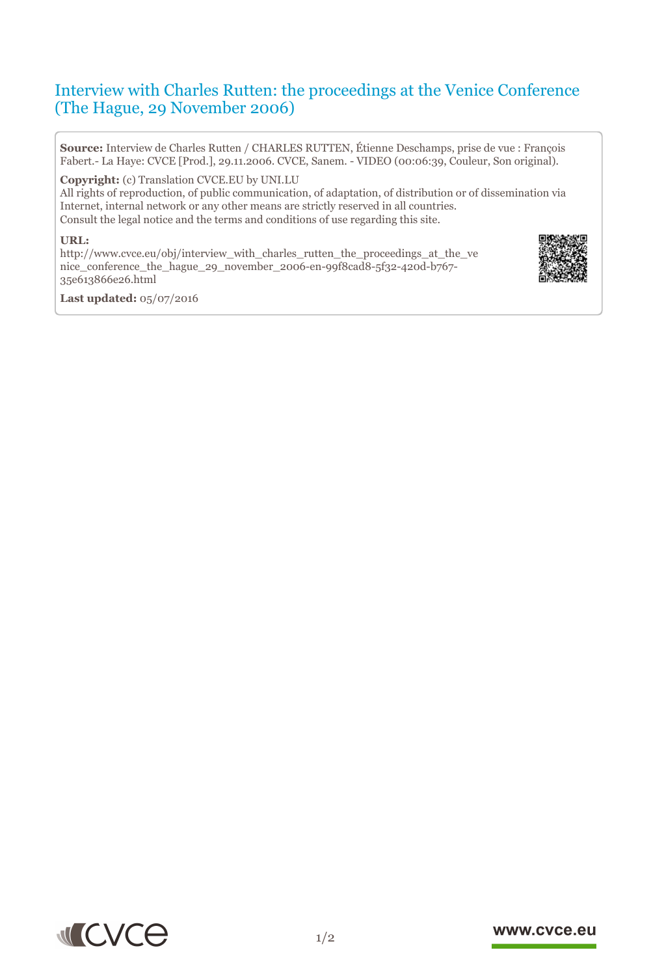# Interview with Charles Rutten: the proceedings at the Venice Conference (The Hague, 29 November 2006)

**Source:** Interview de Charles Rutten / CHARLES RUTTEN, Étienne Deschamps, prise de vue : François Fabert.- La Haye: CVCE [Prod.], 29.11.2006. CVCE, Sanem. - VIDEO (00:06:39, Couleur, Son original).

**Copyright:** (c) Translation CVCE.EU by UNI.LU

All rights of reproduction, of public communication, of adaptation, of distribution or of dissemination via Internet, internal network or any other means are strictly reserved in all countries. Consult the legal notice and the terms and conditions of use regarding this site.

#### **URL:**

http://www.cvce.eu/obj/interview\_with\_charles\_rutten\_the\_proceedings\_at\_the\_ve nic[e\\_conference\\_the\\_hague\\_29\\_november\\_2006-en-99f8cad8-5f32-420d-b767-](http://www.cvce.eu/obj/interview_with_charles_rutten_the_proceedings_at_the_venice_conference_the_hague_29_november_2006-en-99f8cad8-5f32-420d-b767-35e613866e26.html) 35e[613866e26.html](http://www.cvce.eu/obj/interview_with_charles_rutten_the_proceedings_at_the_venice_conference_the_hague_29_november_2006-en-99f8cad8-5f32-420d-b767-35e613866e26.html)



**Las[t updated:](http://www.cvce.eu/obj/interview_with_charles_rutten_the_proceedings_at_the_venice_conference_the_hague_29_november_2006-en-99f8cad8-5f32-420d-b767-35e613866e26.html)** 05/07/2016



## www.cvce.eu